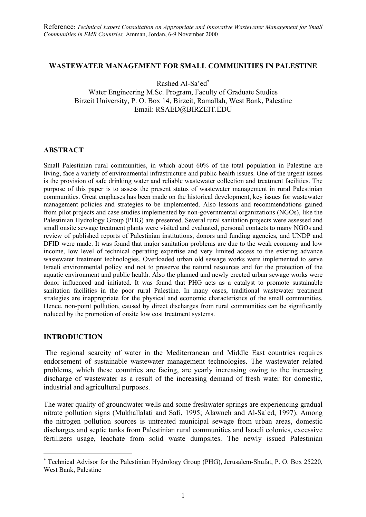#### **WASTEWATER MANAGEMENT FOR SMALL COMMUNITIES IN PALESTINE**

Rashed Al-Sa'ed[∗](#page-0-0)

Water Engineering M.Sc. Program, Faculty of Graduate Studies Birzeit University, P. O. Box 14, Birzeit, Ramallah, West Bank, Palestine Email: RSAED@BIRZEIT.EDU

#### **ABSTRACT**

Small Palestinian rural communities, in which about 60% of the total population in Palestine are living, face a variety of environmental infrastructure and public health issues. One of the urgent issues is the provision of safe drinking water and reliable wastewater collection and treatment facilities. The purpose of this paper is to assess the present status of wastewater management in rural Palestinian communities. Great emphases has been made on the historical development, key issues for wastewater management policies and strategies to be implemented. Also lessons and recommendations gained from pilot projects and case studies implemented by non-governmental organizations (NGOs), like the Palestinian Hydrology Group (PHG) are presented. Several rural sanitation projects were assessed and small onsite sewage treatment plants were visited and evaluated, personal contacts to many NGOs and review of published reports of Palestinian institutions, donors and funding agencies, and UNDP and DFID were made. It was found that major sanitation problems are due to the weak economy and low income, low level of technical operating expertise and very limited access to the existing advance wastewater treatment technologies. Overloaded urban old sewage works were implemented to serve Israeli environmental policy and not to preserve the natural resources and for the protection of the aquatic environment and public health. Also the planned and newly erected urban sewage works were donor influenced and initiated. It was found that PHG acts as a catalyst to promote sustainable sanitation facilities in the poor rural Palestine. In many cases, traditional wastewater treatment strategies are inappropriate for the physical and economic characteristics of the small communities. Hence, non-point pollution, caused by direct discharges from rural communities can be significantly reduced by the promotion of onsite low cost treatment systems.

## **INTRODUCTION**

 $\overline{a}$ 

The regional scarcity of water in the Mediterranean and Middle East countries requires endorsement of sustainable wastewater management technologies. The wastewater related problems, which these countries are facing, are yearly increasing owing to the increasing discharge of wastewater as a result of the increasing demand of fresh water for domestic, industrial and agricultural purposes.

The water quality of groundwater wells and some freshwater springs are experiencing gradual nitrate pollution signs (Mukhallalati and Safi, 1995; Alawneh and Al-Sa`ed, 1997). Among the nitrogen pollution sources is untreated municipal sewage from urban areas, domestic discharges and septic tanks from Palestinian rural communities and Israeli colonies, excessive fertilizers usage, leachate from solid waste dumpsites. The newly issued Palestinian

<span id="page-0-0"></span><sup>∗</sup> Technical Advisor for the Palestinian Hydrology Group (PHG), Jerusalem-Shufat, P. O. Box 25220, West Bank, Palestine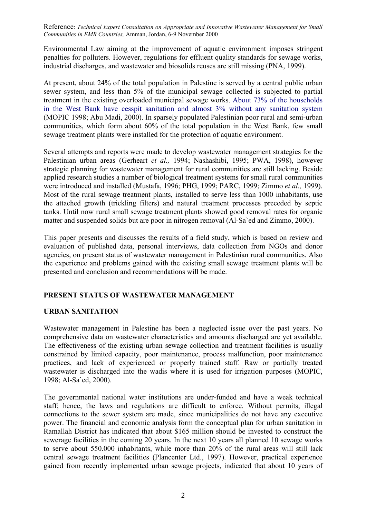Environmental Law aiming at the improvement of aquatic environment imposes stringent penalties for polluters. However, regulations for effluent quality standards for sewage works, industrial discharges, and wastewater and biosolids reuses are still missing (PNA, 1999).

At present, about 24% of the total population in Palestine is served by a central public urban sewer system, and less than 5% of the municipal sewage collected is subjected to partial treatment in the existing overloaded municipal sewage works. About 73% of the households in the West Bank have cesspit sanitation and almost 3% without any sanitation system (MOPIC 1998; Abu Madi, 2000). In sparsely populated Palestinian poor rural and semi-urban communities, which form about 60% of the total population in the West Bank, few small sewage treatment plants were installed for the protection of aquatic environment.

Several attempts and reports were made to develop wastewater management strategies for the Palestinian urban areas (Gerheart *et al.,* 1994; Nashashibi, 1995; PWA, 1998), however strategic planning for wastewater management for rural communities are still lacking. Beside applied research studies a number of biological treatment systems for small rural communities were introduced and installed (Mustafa, 1996; PHG, 1999; PARC, 1999; Zimmo *et al.,* 1999). Most of the rural sewage treatment plants, installed to serve less than 1000 inhabitants, use the attached growth (trickling filters) and natural treatment processes preceded by septic tanks. Until now rural small sewage treatment plants showed good removal rates for organic matter and suspended solids but are poor in nitrogen removal (Al-Sa`ed and Zimmo, 2000).

This paper presents and discusses the results of a field study, which is based on review and evaluation of published data, personal interviews, data collection from NGOs and donor agencies, on present status of wastewater management in Palestinian rural communities. Also the experience and problems gained with the existing small sewage treatment plants will be presented and conclusion and recommendations will be made.

# **PRESENT STATUS OF WASTEWATER MANAGEMENT**

# **URBAN SANITATION**

Wastewater management in Palestine has been a neglected issue over the past years. No comprehensive data on wastewater characteristics and amounts discharged are yet available. The effectiveness of the existing urban sewage collection and treatment facilities is usually constrained by limited capacity, poor maintenance, process malfunction, poor maintenance practices, and lack of experienced or properly trained staff. Raw or partially treated wastewater is discharged into the wadis where it is used for irrigation purposes (MOPIC, 1998; Al-Sa`ed, 2000).

The governmental national water institutions are under-funded and have a weak technical staff; hence, the laws and regulations are difficult to enforce. Without permits, illegal connections to the sewer system are made, since municipalities do not have any executive power. The financial and economic analysis form the conceptual plan for urban sanitation in Ramallah District has indicated that about \$165 million should be invested to construct the sewerage facilities in the coming 20 years. In the next 10 years all planned 10 sewage works to serve about 550.000 inhabitants, while more than 20% of the rural areas will still lack central sewage treatment facilities (Plancenter Ltd., 1997). However, practical experience gained from recently implemented urban sewage projects, indicated that about 10 years of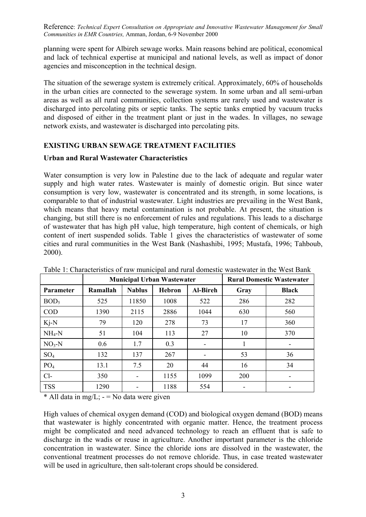planning were spent for Albireh sewage works. Main reasons behind are political, economical and lack of technical expertise at municipal and national levels, as well as impact of donor agencies and misconception in the technical design.

The situation of the sewerage system is extremely critical. Approximately, 60% of households in the urban cities are connected to the sewerage system. In some urban and all semi-urban areas as well as all rural communities, collection systems are rarely used and wastewater is discharged into percolating pits or septic tanks. The septic tanks emptied by vacuum trucks and disposed of either in the treatment plant or just in the wades. In villages, no sewage network exists, and wastewater is discharged into percolating pits.

# **EXISTING URBAN SEWAGE TREATMENT FACILITIES**

# **Urban and Rural Wastewater Characteristics**

Water consumption is very low in Palestine due to the lack of adequate and regular water supply and high water rates. Wastewater is mainly of domestic origin. But since water consumption is very low, wastewater is concentrated and its strength, in some locations, is comparable to that of industrial wastewater. Light industries are prevailing in the West Bank, which means that heavy metal contamination is not probable. At present, the situation is changing, but still there is no enforcement of rules and regulations. This leads to a discharge of wastewater that has high pH value, high temperature, high content of chemicals, or high content of inert suspended solids. Table 1 gives the characteristics of wastewater of some cities and rural communities in the West Bank (Nashashibi, 1995; Mustafa, 1996; Tahboub, 2000).

|                  | <b>Municipal Urban Wastewater</b> |               |               | <b>Rural Domestic Wastewater</b> |      |              |
|------------------|-----------------------------------|---------------|---------------|----------------------------------|------|--------------|
| <b>Parameter</b> | Ramallah                          | <b>Nablus</b> | <b>Hebron</b> | <b>Al-Bireh</b>                  | Gray | <b>Black</b> |
| BOD <sub>5</sub> | 525                               | 11850         | 1008          | 522                              | 286  | 282          |
| <b>COD</b>       | 1390                              | 2115          | 2886          | 1044                             | 630  | 560          |
| $Ki-N$           | 79                                | 120           | 278           | 73                               | 17   | 360          |
| $NH_4-N$         | 51                                | 104           | 113           | 27                               | 10   | 370          |
| $NO3-N$          | 0.6                               | 1.7           | 0.3           |                                  | 1    |              |
| $SO_4$           | 132                               | 137           | 267           |                                  | 53   | 36           |
| PO <sub>4</sub>  | 13.1                              | 7.5           | 20            | 44                               | 16   | 34           |
| $Cl-$            | 350                               | ۰             | 1155          | 1099                             | 200  |              |
| <b>TSS</b>       | 1290                              | ۰             | 1188          | 554                              |      |              |

Table 1: Characteristics of raw municipal and rural domestic wastewater in the West Bank

\* All data in mg/L;  $-$  = No data were given

High values of chemical oxygen demand (COD) and biological oxygen demand (BOD) means that wastewater is highly concentrated with organic matter. Hence, the treatment process might be complicated and need advanced technology to reach an effluent that is safe to discharge in the wadis or reuse in agriculture. Another important parameter is the chloride concentration in wastewater. Since the chloride ions are dissolved in the wastewater, the conventional treatment processes do not remove chloride. Thus, in case treated wastewater will be used in agriculture, then salt-tolerant crops should be considered.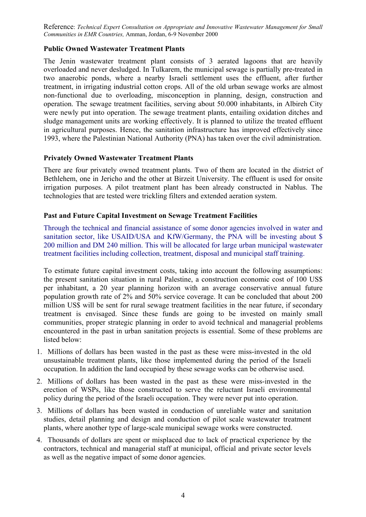# **Public Owned Wastewater Treatment Plants**

The Jenin wastewater treatment plant consists of 3 aerated lagoons that are heavily overloaded and never desludged. In Tulkarem, the municipal sewage is partially pre-treated in two anaerobic ponds, where a nearby Israeli settlement uses the effluent, after further treatment, in irrigating industrial cotton crops. All of the old urban sewage works are almost non-functional due to overloading, misconception in planning, design, construction and operation. The sewage treatment facilities, serving about 50.000 inhabitants, in Albireh City were newly put into operation. The sewage treatment plants, entailing oxidation ditches and sludge management units are working effectively. It is planned to utilize the treated effluent in agricultural purposes. Hence, the sanitation infrastructure has improved effectively since 1993, where the Palestinian National Authority (PNA) has taken over the civil administration.

# **Privately Owned Wastewater Treatment Plants**

There are four privately owned treatment plants. Two of them are located in the district of Bethlehem, one in Jericho and the other at Birzeit University. The effluent is used for onsite irrigation purposes. A pilot treatment plant has been already constructed in Nablus. The technologies that are tested were trickling filters and extended aeration system.

# **Past and Future Capital Investment on Sewage Treatment Facilities**

Through the technical and financial assistance of some donor agencies involved in water and sanitation sector, like USAID/USA and KfW/Germany, the PNA will be investing about \$ 200 million and DM 240 million. This will be allocated for large urban municipal wastewater treatment facilities including collection, treatment, disposal and municipal staff training.

To estimate future capital investment costs, taking into account the following assumptions: the present sanitation situation in rural Palestine, a construction economic cost of 100 US\$ per inhabitant, a 20 year planning horizon with an average conservative annual future population growth rate of 2% and 50% service coverage. It can be concluded that about 200 million US\$ will be sent for rural sewage treatment facilities in the near future, if secondary treatment is envisaged. Since these funds are going to be invested on mainly small communities, proper strategic planning in order to avoid technical and managerial problems encountered in the past in urban sanitation projects is essential. Some of these problems are listed below:

- 1. Millions of dollars has been wasted in the past as these were miss-invested in the old unsustainable treatment plants, like those implemented during the period of the Israeli occupation. In addition the land occupied by these sewage works can be otherwise used.
- 2. Millions of dollars has been wasted in the past as these were miss-invested in the erection of WSPs, like those constructed to serve the reluctant Israeli environmental policy during the period of the Israeli occupation. They were never put into operation.
- 3. Millions of dollars has been wasted in conduction of unreliable water and sanitation studies, detail planning and design and conduction of pilot scale wastewater treatment plants, where another type of large-scale municipal sewage works were constructed.
- 4. Thousands of dollars are spent or misplaced due to lack of practical experience by the contractors, technical and managerial staff at municipal, official and private sector levels as well as the negative impact of some donor agencies.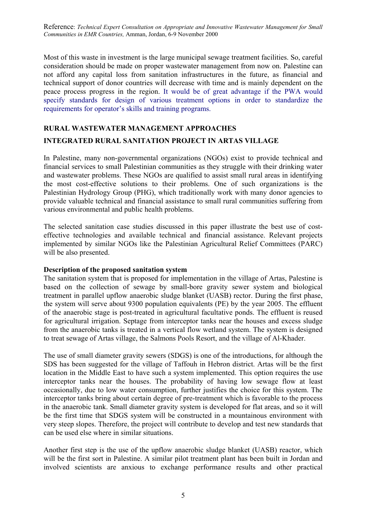Most of this waste in investment is the large municipal sewage treatment facilities. So, careful consideration should be made on proper wastewater management from now on. Palestine can not afford any capital loss from sanitation infrastructures in the future, as financial and technical support of donor countries will decrease with time and is mainly dependent on the peace process progress in the region. It would be of great advantage if the PWA would specify standards for design of various treatment options in order to standardize the requirements for operator's skills and training programs.

# **RURAL WASTEWATER MANAGEMENT APPROACHES INTEGRATED RURAL SANITATION PROJECT IN ARTAS VILLAGE**

In Palestine, many non-governmental organizations (NGOs) exist to provide technical and financial services to small Palestinian communities as they struggle with their drinking water and wastewater problems. These NGOs are qualified to assist small rural areas in identifying the most cost-effective solutions to their problems. One of such organizations is the Palestinian Hydrology Group (PHG), which traditionally work with many donor agencies to provide valuable technical and financial assistance to small rural communities suffering from various environmental and public health problems.

The selected sanitation case studies discussed in this paper illustrate the best use of costeffective technologies and available technical and financial assistance. Relevant projects implemented by similar NGOs like the Palestinian Agricultural Relief Committees (PARC) will be also presented.

## **Description of the proposed sanitation system**

The sanitation system that is proposed for implementation in the village of Artas, Palestine is based on the collection of sewage by small-bore gravity sewer system and biological treatment in parallel upflow anaerobic sludge blanket (UASB) rector. During the first phase, the system will serve about 9300 population equivalents (PE) by the year 2005. The effluent of the anaerobic stage is post-treated in agricultural facultative ponds. The effluent is reused for agricultural irrigation. Septage from interceptor tanks near the houses and excess sludge from the anaerobic tanks is treated in a vertical flow wetland system. The system is designed to treat sewage of Artas village, the Salmons Pools Resort, and the village of Al-Khader.

The use of small diameter gravity sewers (SDGS) is one of the introductions, for although the SDS has been suggested for the village of Taffouh in Hebron district. Artas will be the first location in the Middle East to have such a system implemented. This option requires the use interceptor tanks near the houses. The probability of having low sewage flow at least occasionally, due to low water consumption, further justifies the choice for this system. The interceptor tanks bring about certain degree of pre-treatment which is favorable to the process in the anaerobic tank. Small diameter gravity system is developed for flat areas, and so it will be the first time that SDGS system will be constructed in a mountainous environment with very steep slopes. Therefore, the project will contribute to develop and test new standards that can be used else where in similar situations.

Another first step is the use of the upflow anaerobic sludge blanket (UASB) reactor, which will be the first sort in Palestine. A similar pilot treatment plant has been built in Jordan and involved scientists are anxious to exchange performance results and other practical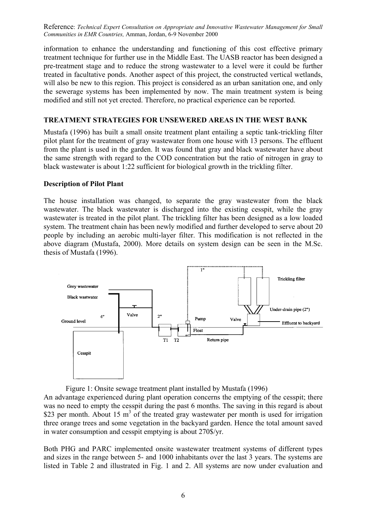information to enhance the understanding and functioning of this cost effective primary treatment technique for further use in the Middle East. The UASB reactor has been designed a pre-treatment stage and to reduce the strong wastewater to a level were it could be further treated in facultative ponds. Another aspect of this project, the constructed vertical wetlands, will also be new to this region. This project is considered as an urban sanitation one, and only the sewerage systems has been implemented by now. The main treatment system is being modified and still not yet erected. Therefore, no practical experience can be reported.

# **TREATMENT STRATEGIES FOR UNSEWERED AREAS IN THE WEST BANK**

Mustafa (1996) has built a small onsite treatment plant entailing a septic tank-trickling filter pilot plant for the treatment of gray wastewater from one house with 13 persons. The effluent from the plant is used in the garden. It was found that gray and black wastewater have about the same strength with regard to the COD concentration but the ratio of nitrogen in gray to black wastewater is about 1:22 sufficient for biological growth in the trickling filter.

## **Description of Pilot Plant**

The house installation was changed, to separate the gray wastewater from the black wastewater. The black wastewater is discharged into the existing cesspit, while the gray wastewater is treated in the pilot plant. The trickling filter has been designed as a low loaded system. The treatment chain has been newly modified and further developed to serve about 20 people by including an aerobic multi-layer filter. This modification is not reflected in the above diagram (Mustafa, 2000). More details on system design can be seen in the M.Sc. thesis of Mustafa (1996).



Figure 1: Onsite sewage treatment plant installed by Mustafa (1996) An advantage experienced during plant operation concerns the emptying of the cesspit; there was no need to empty the cesspit during the past 6 months. The saving in this regard is about \$23 per month. About 15  $m<sup>3</sup>$  of the treated gray wastewater per month is used for irrigation three orange trees and some vegetation in the backyard garden. Hence the total amount saved in water consumption and cesspit emptying is about 270\$/yr.

Both PHG and PARC implemented onsite wastewater treatment systems of different types and sizes in the range between 5- and 1000 inhabitants over the last 3 years. The systems are listed in Table 2 and illustrated in Fig. 1 and 2. All systems are now under evaluation and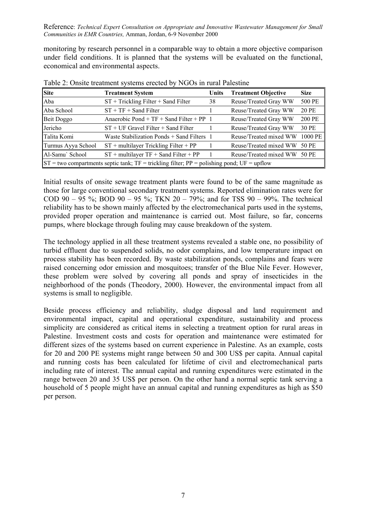monitoring by research personnel in a comparable way to obtain a more objective comparison under field conditions. It is planned that the systems will be evaluated on the functional, economical and environmental aspects.

| <b>Site</b>                                                                                        | <b>Treatment System</b>                    | Units | <b>Treatment Objective</b> | <b>Size</b> |  |  |  |  |
|----------------------------------------------------------------------------------------------------|--------------------------------------------|-------|----------------------------|-------------|--|--|--|--|
| Aba                                                                                                | $ST + Trickling Filter + Sand Filter$      | 38    | Reuse/Treated Gray WW      | 500 PE      |  |  |  |  |
| Aba School                                                                                         | $ST + TF + Sand Filter$                    |       | Reuse/Treated Gray WW      | 20 PE       |  |  |  |  |
| Beit Doggo                                                                                         | Anaerobic Pond + $TF$ + Sand Filter + PP 1 |       | Reuse/Treated Gray WW      | 200 PE      |  |  |  |  |
| Jericho                                                                                            | $ST + UF$ Gravel Filter $+$ Sand Filter    |       | Reuse/Treated Gray WW      | 30 PE       |  |  |  |  |
| Talita Komi                                                                                        | Waste Stabilization Ponds + Sand Filters 1 |       | Reuse/Treated mixed WW     | 1000 PE     |  |  |  |  |
| Turmus Ayya School                                                                                 | $ST$ + multilayer Trickling Filter + PP    |       | Reuse/Treated mixed WW     | 50 PE       |  |  |  |  |
| Al-Samu` School                                                                                    | $ST$ + multilayer $TF$ + Sand Filter + PP  |       | Reuse/Treated mixed WW     | 50 PE       |  |  |  |  |
| $ST$ = two compartments septic tank; $TF$ = trickling filter; $PP$ = polishing pond; $UF$ = upflow |                                            |       |                            |             |  |  |  |  |

Table 2: Onsite treatment systems erected by NGOs in rural Palestine

Initial results of onsite sewage treatment plants were found to be of the same magnitude as those for large conventional secondary treatment systems. Reported elimination rates were for COD 90 – 95 %; BOD 90 – 95 %; TKN 20 – 79%; and for TSS 90 – 99%. The technical reliability has to be shown mainly affected by the electromechanical parts used in the systems, provided proper operation and maintenance is carried out. Most failure, so far, concerns pumps, where blockage through fouling may cause breakdown of the system.

The technology applied in all these treatment systems revealed a stable one, no possibility of turbid effluent due to suspended solids, no odor complains, and low temperature impact on process stability has been recorded. By waste stabilization ponds, complains and fears were raised concerning odor emission and mosquitoes; transfer of the Blue Nile Fever. However, these problem were solved by covering all ponds and spray of insecticides in the neighborhood of the ponds (Theodory, 2000). However, the environmental impact from all systems is small to negligible.

Beside process efficiency and reliability, sludge disposal and land requirement and environmental impact, capital and operational expenditure, sustainability and process simplicity are considered as critical items in selecting a treatment option for rural areas in Palestine. Investment costs and costs for operation and maintenance were estimated for different sizes of the systems based on current experience in Palestine. As an example, costs for 20 and 200 PE systems might range between 50 and 300 US\$ per capita. Annual capital and running costs has been calculated for lifetime of civil and electromechanical parts including rate of interest. The annual capital and running expenditures were estimated in the range between 20 and 35 US\$ per person. On the other hand a normal septic tank serving a household of 5 people might have an annual capital and running expenditures as high as \$50 per person.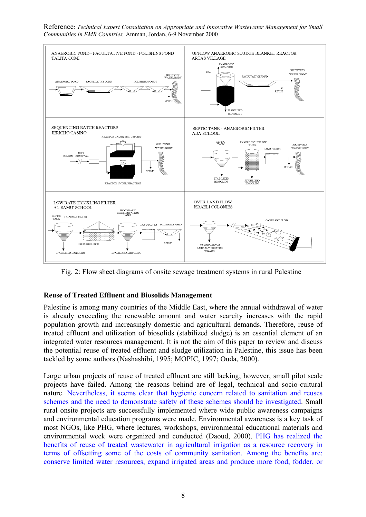Reference: *Technical Expert Consultation on Appropriate and Innovative Wastewater Management for Small Communities in EMR Countries,* Amman, Jordan, 6-9 November 2000



Fig. 2: Flow sheet diagrams of onsite sewage treatment systems in rural Palestine

# **Reuse of Treated Effluent and Biosolids Management**

Palestine is among many countries of the Middle East, where the annual withdrawal of water is already exceeding the renewable amount and water scarcity increases with the rapid population growth and increasingly domestic and agricultural demands. Therefore, reuse of treated effluent and utilization of biosolids (stabilized sludge) is an essential element of an integrated water resources management. It is not the aim of this paper to review and discuss the potential reuse of treated effluent and sludge utilization in Palestine, this issue has been tackled by some authors (Nashashibi, 1995; MOPIC, 1997; Ouda, 2000).

Large urban projects of reuse of treated effluent are still lacking; however, small pilot scale projects have failed. Among the reasons behind are of legal, technical and socio-cultural nature. Nevertheless, it seems clear that hygienic concern related to sanitation and reuses schemes and the need to demonstrate safety of these schemes should be investigated. Small rural onsite projects are successfully implemented where wide public awareness campaigns and environmental education programs were made. Environmental awareness is a key task of most NGOs, like PHG, where lectures, workshops, environmental educational materials and environmental week were organized and conducted (Daoud, 2000). PHG has realized the benefits of reuse of treated wastewater in agricultural irrigation as a resource recovery in terms of offsetting some of the costs of community sanitation. Among the benefits are: conserve limited water resources, expand irrigated areas and produce more food, fodder, or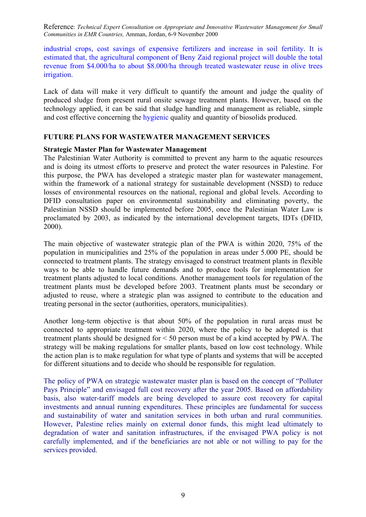industrial crops, cost savings of expensive fertilizers and increase in soil fertility. It is estimated that, the agricultural component of Beny Zaid regional project will double the total revenue from \$4.000/ha to about \$8.000/ha through treated wastewater reuse in olive trees irrigation.

Lack of data will make it very difficult to quantify the amount and judge the quality of produced sludge from present rural onsite sewage treatment plants. However, based on the technology applied, it can be said that sludge handling and management as reliable, simple and cost effective concerning the hygienic quality and quantity of biosolids produced.

## **FUTURE PLANS FOR WASTEWATER MANAGEMENT SERVICES**

## **Strategic Master Plan for Wastewater Management**

The Palestinian Water Authority is committed to prevent any harm to the aquatic resources and is doing its utmost efforts to preserve and protect the water resources in Palestine. For this purpose, the PWA has developed a strategic master plan for wastewater management, within the framework of a national strategy for sustainable development (NSSD) to reduce losses of environmental resources on the national, regional and global levels. According to DFID consultation paper on environmental sustainability and eliminating poverty, the Palestinian NSSD should be implemented before 2005, once the Palestinian Water Law is proclamated by 2003, as indicated by the international development targets, IDTs (DFID, 2000).

The main objective of wastewater strategic plan of the PWA is within 2020, 75% of the population in municipalities and 25% of the population in areas under 5.000 PE, should be connected to treatment plants. The strategy envisaged to construct treatment plants in flexible ways to be able to handle future demands and to produce tools for implementation for treatment plants adjusted to local conditions. Another management tools for regulation of the treatment plants must be developed before 2003. Treatment plants must be secondary or adjusted to reuse, where a strategic plan was assigned to contribute to the education and treating personal in the sector (authorities, operators, municipalities).

Another long-term objective is that about 50% of the population in rural areas must be connected to appropriate treatment within 2020, where the policy to be adopted is that treatment plants should be designed for < 50 person must be of a kind accepted by PWA. The strategy will be making regulations for smaller plants, based on low cost technology. While the action plan is to make regulation for what type of plants and systems that will be accepted for different situations and to decide who should be responsible for regulation.

The policy of PWA on strategic wastewater master plan is based on the concept of "Polluter Pays Principle" and envisaged full cost recovery after the year 2005. Based on affordability basis, also water-tariff models are being developed to assure cost recovery for capital investments and annual running expenditures. These principles are fundamental for success and sustainability of water and sanitation services in both urban and rural communities. However, Palestine relies mainly on external donor funds, this might lead ultimately to degradation of water and sanitation infrastructures, if the envisaged PWA policy is not carefully implemented, and if the beneficiaries are not able or not willing to pay for the services provided.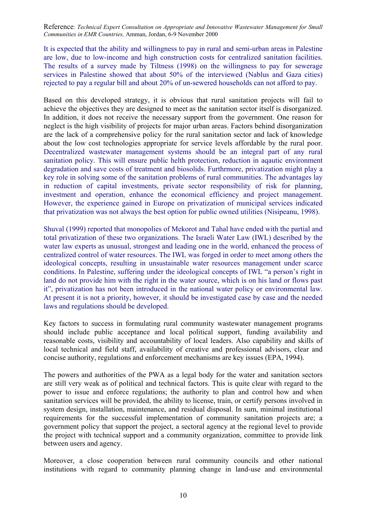It is expected that the ability and willingness to pay in rural and semi-urban areas in Palestine are low, due to low-income and high construction costs for centralized sanitation facilities. The results of a survey made by Tiltness (1998) on the willingness to pay for sewerage services in Palestine showed that about 50% of the interviewed (Nablus and Gaza cities) rejected to pay a regular bill and about 20% of un-sewered households can not afford to pay.

Based on this developed strategy, it is obvious that rural sanitation projects will fail to achieve the objectives they are designed to meet as the sanitation sector itself is disorganized. In addition, it does not receive the necessary support from the government. One reason for neglect is the high visibility of projects for major urban areas. Factors behind disorganization are the lack of a comprehensive policy for the rural sanitation sector and lack of knowledge about the low cost technologies appropriate for service levels affordable by the rural poor. Decentralized wastewater management systems should be an integral part of any rural sanitation policy. This will ensure public helth protection, reduction in aqautic environment degradation and save costs of treatment and biosolids. Furthrmore, privatization might play a key role in solving some of the sanitation problems of rural communities. The advantages lay in reduction of capital investments, private sector responsibility of risk for planning, investment and operation, enhance the economical efficiency and project management. However, the experience gained in Europe on privatization of municipal services indicated that privatization was not always the best option for public owned utilities (Nisipeanu, 1998).

Shuval (1999) reported that monopolies of Mekorot and Tahal have ended with the partial and total privatization of these two organizations. The Israeli Water Law (IWL) described by the water law experts as unusual, strongest and leading one in the world, enhanced the process of centralized control of water resources. The IWL was forged in order to meet among others the ideological concepts, resulting in unsustainable water resources management under scarce conditions. In Palestine, suffering under the ideological concepts of IWL "a person's right in land do not provide him with the right in the water source, which is on his land or flows past it", privatization has not been introduced in the national water policy or environmental law. At present it is not a priority, however, it should be investigated case by case and the needed laws and regulations should be developed.

Key factors to success in formulating rural community wastewater management programs should include public acceptance and local political support, funding availability and reasonable costs, visibility and accountability of local leaders. Also capability and skills of local technical and field staff, availability of creative and professional advisors, clear and concise authority, regulations and enforcement mechanisms are key issues (EPA, 1994).

The powers and authorities of the PWA as a legal body for the water and sanitation sectors are still very weak as of political and technical factors. This is quite clear with regard to the power to issue and enforce regulations; the authority to plan and control how and when sanitation services will be provided, the ability to license, train, or certify persons involved in system design, installation, maintenance, and residual disposal. In sum, minimal institutional requirements for the successful implementation of community sanitation projects are; a government policy that support the project, a sectoral agency at the regional level to provide the project with technical support and a community organization, committee to provide link between users and agency.

Moreover, a close cooperation between rural community councils and other national institutions with regard to community planning change in land-use and environmental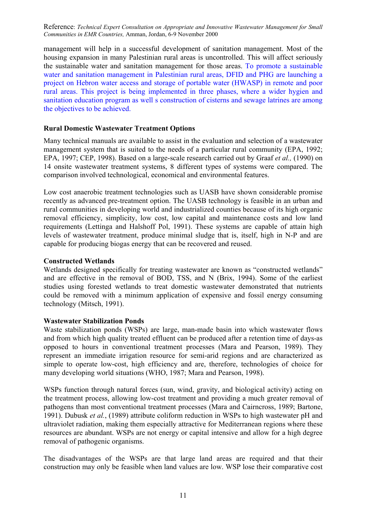management will help in a successful development of sanitation management. Most of the housing expansion in many Palestinian rural areas is uncontrolled. This will affect seriously the sustainable water and sanitation management for those areas. To promote a sustainable water and sanitation management in Palestinian rural areas, DFID and PHG are launching a project on Hebron water access and storage of portable water (HWASP) in remote and poor rural areas. This project is being implemented in three phases, where a wider hygien and sanitation education program as well s construction of cisterns and sewage latrines are among the objectives to be achieved.

## **Rural Domestic Wastewater Treatment Options**

Many technical manuals are available to assist in the evaluation and selection of a wastewater management system that is suited to the needs of a particular rural community (EPA, 1992; EPA, 1997; CEP, 1998). Based on a large-scale research carried out by Graaf *et al.,* (1990) on 14 onsite wastewater treatment systems, 8 different types of systems were compared. The comparison involved technological, economical and environmental features.

Low cost anaerobic treatment technologies such as UASB have shown considerable promise recently as advanced pre-treatment option. The UASB technology is feasible in an urban and rural communities in developing world and industrialized counties because of its high organic removal efficiency, simplicity, low cost, low capital and maintenance costs and low land requirements (Lettinga and Halshoff Pol, 1991). These systems are capable of attain high levels of wastewater treatment, produce minimal sludge that is, itself, high in N-P and are capable for producing biogas energy that can be recovered and reused.

## **Constructed Wetlands**

Wetlands designed specifically for treating wastewater are known as "constructed wetlands" and are effective in the removal of BOD, TSS, and N (Brix, 1994). Some of the earliest studies using forested wetlands to treat domestic wastewater demonstrated that nutrients could be removed with a minimum application of expensive and fossil energy consuming technology (Mitsch, 1991).

# **Wastewater Stabilization Ponds**

Waste stabilization ponds (WSPs) are large, man-made basin into which wastewater flows and from which high quality treated effluent can be produced after a retention time of days-as opposed to hours in conventional treatment processes (Mara and Pearson, 1989). They represent an immediate irrigation resource for semi-arid regions and are characterized as simple to operate low-cost, high efficiency and are, therefore, technologies of choice for many developing world situations (WHO, 1987; Mara and Pearson, 1998).

WSPs function through natural forces (sun, wind, gravity, and biological activity) acting on the treatment process, allowing low-cost treatment and providing a much greater removal of pathogens than most conventional treatment processes (Mara and Cairncross, 1989; Bartone, 1991). Dubusk *et al.*, (1989) attribute coliform reduction in WSPs to high wastewater pH and ultraviolet radiation, making them especially attractive for Mediterranean regions where these resources are abundant. WSPs are not energy or capital intensive and allow for a high degree removal of pathogenic organisms.

The disadvantages of the WSPs are that large land areas are required and that their construction may only be feasible when land values are low. WSP lose their comparative cost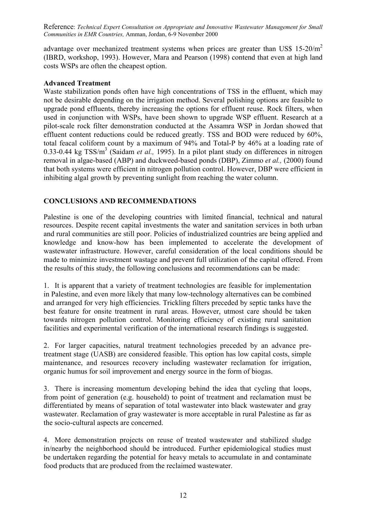advantage over mechanized treatment systems when prices are greater than US\$  $15{\text -}20/m^2$ (IBRD, workshop, 1993). However, Mara and Pearson (1998) contend that even at high land costs WSPs are often the cheapest option.

## **Advanced Treatment**

Waste stabilization ponds often have high concentrations of TSS in the effluent, which may not be desirable depending on the irrigation method. Several polishing options are feasible to upgrade pond effluents, thereby increasing the options for effluent reuse. Rock filters, when used in conjunction with WSPs, have been shown to upgrade WSP effluent. Research at a pilot-scale rock filter demonstration conducted at the Assamra WSP in Jordan showed that effluent content reductions could be reduced greatly. TSS and BOD were reduced by 60%, total feacal coliform count by a maximum of 94% and Total-P by 46% at a loading rate of  $0.33$ - $0.44$  kg TSS/m<sup>3</sup> (Saidam *et al.,* 1995). In a pilot plant study on differences in nitrogen removal in algae-based (ABP) and duckweed-based ponds (DBP), Zimmo *et al.,* (2000) found that both systems were efficient in nitrogen pollution control. However, DBP were efficient in inhibiting algal growth by preventing sunlight from reaching the water column.

# **CONCLUSIONS AND RECOMMENDATIONS**

Palestine is one of the developing countries with limited financial, technical and natural resources. Despite recent capital investments the water and sanitation services in both urban and rural communities are still poor. Policies of industrialized countries are being applied and knowledge and know-how has been implemented to accelerate the development of wastewater infrastructure. However, careful consideration of the local conditions should be made to minimize investment wastage and prevent full utilization of the capital offered. From the results of this study, the following conclusions and recommendations can be made:

1. It is apparent that a variety of treatment technologies are feasible for implementation in Palestine, and even more likely that many low-technology alternatives can be combined and arranged for very high efficiencies. Trickling filters preceded by septic tanks have the best feature for onsite treatment in rural areas. However, utmost care should be taken towards nitrogen pollution control. Monitoring efficiency of existing rural sanitation facilities and experimental verification of the international research findings is suggested.

2. For larger capacities, natural treatment technologies preceded by an advance pretreatment stage (UASB) are considered feasible. This option has low capital costs, simple maintenance, and resources recovery including wastewater reclamation for irrigation, organic humus for soil improvement and energy source in the form of biogas.

3. There is increasing momentum developing behind the idea that cycling that loops, from point of generation (e.g. household) to point of treatment and reclamation must be differentiated by means of separation of total wastewater into black wastewater and gray wastewater. Reclamation of gray wastewater is more acceptable in rural Palestine as far as the socio-cultural aspects are concerned.

4. More demonstration projects on reuse of treated wastewater and stabilized sludge in/nearby the neighborhood should be introduced. Further epidemiological studies must be undertaken regarding the potential for heavy metals to accumulate in and contaminate food products that are produced from the reclaimed wastewater.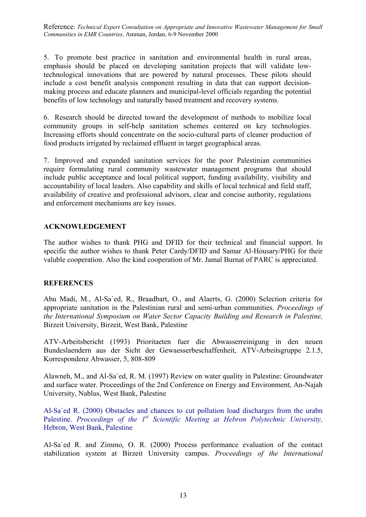5. To promote best practice in sanitation and environmental health in rural areas, emphasis should be placed on developing sanitation projects that will validate lowtechnological innovations that are powered by natural processes. These pilots should include a cost benefit analysis component resulting in data that can support decisionmaking process and educate planners and municipal-level officials regarding the potential benefits of low technology and naturally based treatment and recovery systems.

6. Research should be directed toward the development of methods to mobilize local community groups in self-help sanitation schemes centered on key technologies. Increasing efforts should concentrate on the socio-cultural parts of cleaner production of food products irrigated by reclaimed effluent in target geographical areas.

7. Improved and expanded sanitation services for the poor Palestinian communities require formulating rural community wastewater management programs that should include public acceptance and local political support, funding availability, visibility and accountability of local leaders. Also capability and skills of local technical and field staff, availability of creative and professional advisors, clear and concise authority, regulations and enforcement mechanisms are key issues.

## **ACKNOWLEDGEMENT**

The author wishes to thank PHG and DFID for their technical and financial support. In specific the author wishes to thank Peter Cardy/DFID and Samar Al-Housary/PHG for their valuble cooperation. Also the kind cooperation of Mr. Jamal Burnat of PARC is appreciated.

## **REFERENCES**

Abu Madi, M., Al-Sa`ed, R., Braadbart, O., and Alaerts, G. (2000) Selection criteria for appropriate sanitation in the Palestinian rural and semi-urban communities. *Proceedings of the International Symposium on Water Sector Capacity Building and Research in Palestine,* Birzeit University, Birzeit, West Bank, Palestine

ATV-Arbeitsbericht (1993) Prioritaeten fuer die Abwasserreinigung in den neuen Bundeslaendern aus der Sicht der Gewaesserbeschaffenheit, ATV-Arbeitsgruppe 2.1.5, Korrespondenz Abwasser, 5, 808-809

Alawneh, M., and Al-Sa`ed, R. M. (1997) Review on water quality in Palestine: Groundwater and surface water. Proceedings of the 2nd Conference on Energy and Environment, An-Najah University, Nablus, West Bank, Palestine

Al-Sa`ed R. (2000) Obstacles and chances to cut pollution load discharges from the urabn Palestine. *Proceedings of the 1<sup>st</sup> Scientific Meeting at Hebron Polytechnic University*, Hebron, West Bank, Palestine

Al-Sa`ed R. and Zimmo, O. R. (2000) Process performance evaluation of the contact stabilization system at Birzeit University campus. *Proceedings of the International*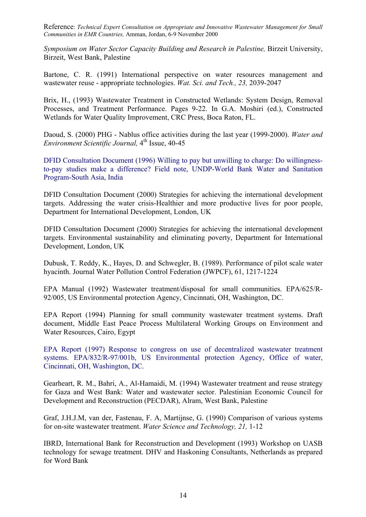*Symposium on Water Sector Capacity Building and Research in Palestine,* Birzeit University, Birzeit, West Bank, Palestine

Bartone, C. R. (1991) International perspective on water resources management and wastewater reuse - appropriate technologies. *Wat. Sci. and Tech., 23,* 2039-2047

Brix, H., (1993) Wastewater Treatment in Constructed Wetlands: System Design, Removal Processes, and Treatment Performance. Pages 9-22. In G.A. Moshiri (ed.), Constructed Wetlands for Water Quality Improvement, CRC Press, Boca Raton, FL.

Daoud, S. (2000) PHG - Nablus office activities during the last year (1999-2000). *Water and Environment Scientific Journal,* 4th Issue, 40-45

DFID Consultation Document (1996) Willing to pay but unwilling to charge: Do willingnessto-pay studies make a difference? Field note, UNDP-World Bank Water and Sanitation Program-South Asia, India

DFID Consultation Document (2000) Strategies for achieving the international development targets. Addressing the water crisis-Healthier and more productive lives for poor people, Department for International Development, London, UK

DFID Consultation Document (2000) Strategies for achieving the international development targets. Environmental sustainability and eliminating poverty, Department for International Development, London, UK

Dubusk, T. Reddy, K., Hayes, D. and Schwegler, B. (1989). Performance of pilot scale water hyacinth. Journal Water Pollution Control Federation (JWPCF), 61, 1217-1224

EPA Manual (1992) Wastewater treatment/disposal for small communities. EPA/625/R-92/005, US Environmental protection Agency, Cincinnati, OH, Washington, DC.

EPA Report (1994) Planning for small community wastewater treatment systems. Draft document, Middle East Peace Process Multilateral Working Groups on Environment and Water Resources, Cairo, Egypt

EPA Report (1997) Response to congress on use of decentralized wastewater treatment systems. EPA/832/R-97/001b, US Environmental protection Agency, Office of water, Cincinnati, OH, Washington, DC.

Gearheart, R. M., Bahri, A., Al-Hamaidi, M. (1994) Wastewater treatment and reuse strategy for Gaza and West Bank: Water and wastewater sector. Palestinian Economic Council for Development and Reconstruction (PECDAR), Alram, West Bank, Palestine

Graf, J.H.J.M, van der, Fastenau, F. A, Martijnse, G. (1990) Comparison of various systems for on-site wastewater treatment. *Water Science and Technology, 21,* 1-12

IBRD, International Bank for Reconstruction and Development (1993) Workshop on UASB technology for sewage treatment. DHV and Haskoning Consultants, Netherlands as prepared for Word Bank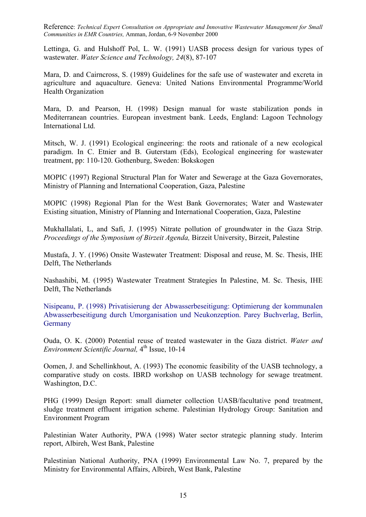Lettinga, G. and Hulshoff Pol, L. W. (1991) UASB process design for various types of wastewater. *Water Science and Technology, 24*(8), 87-107

Mara, D. and Cairncross, S. (1989) Guidelines for the safe use of wastewater and excreta in agriculture and aquaculture. Geneva: United Nations Environmental Programme/World Health Organization

Mara, D. and Pearson, H. (1998) Design manual for waste stabilization ponds in Mediterranean countries. European investment bank. Leeds, England: Lagoon Technology International Ltd.

Mitsch, W. J. (1991) Ecological engineering: the roots and rationale of a new ecological paradigm. In C. Etnier and B. Guterstam (Eds), Ecological engineering for wastewater treatment, pp: 110-120. Gothenburg, Sweden: Bokskogen

MOPIC (1997) Regional Structural Plan for Water and Sewerage at the Gaza Governorates, Ministry of Planning and International Cooperation, Gaza, Palestine

MOPIC (1998) Regional Plan for the West Bank Governorates; Water and Wastewater Existing situation, Ministry of Planning and International Cooperation, Gaza, Palestine

Mukhallalati, L, and Safi, J. (1995) Nitrate pollution of groundwater in the Gaza Strip. *Proceedings of the Symposium of Birzeit Agenda,* Birzeit University, Birzeit, Palestine

Mustafa, J. Y. (1996) Onsite Wastewater Treatment: Disposal and reuse, M. Sc. Thesis, IHE Delft, The Netherlands

Nashashibi, M. (1995) Wastewater Treatment Strategies In Palestine, M. Sc. Thesis, IHE Delft, The Netherlands

Nisipeanu, P. (1998) Privatisierung der Abwasserbeseitigung: Optimierung der kommunalen Abwasserbeseitigung durch Umorganisation und Neukonzeption. Parey Buchverlag, Berlin, **Germany** 

Ouda, O. K. (2000) Potential reuse of treated wastewater in the Gaza district. *Water and Environment Scientific Journal*,  $4<sup>th</sup>$  Issue, 10-14

Oomen, J. and Schellinkhout, A. (1993) The economic feasibility of the UASB technology, a comparative study on costs. IBRD workshop on UASB technology for sewage treatment. Washington, D.C.

PHG (1999) Design Report: small diameter collection UASB/facultative pond treatment, sludge treatment effluent irrigation scheme. Palestinian Hydrology Group: Sanitation and Environment Program

Palestinian Water Authority, PWA (1998) Water sector strategic planning study. Interim report, Albireh, West Bank, Palestine

Palestinian National Authority, PNA (1999) Environmental Law No. 7, prepared by the Ministry for Environmental Affairs, Albireh, West Bank, Palestine